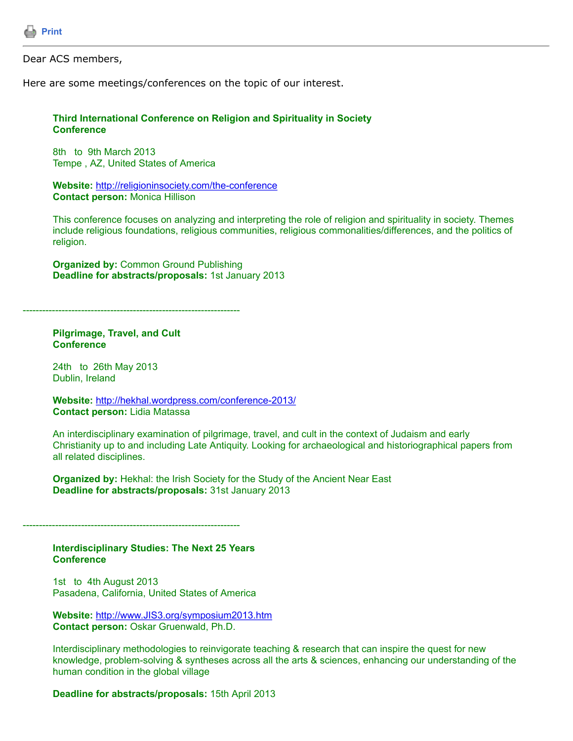

Dear ACS members,

Here are some meetings/conferences on the topic of our interest.

## **Third International Conference on Religion and Spirituality in Society Conference**

8th to 9th March 2013 Tempe , AZ, United States of America

**Website:** <http://religioninsociety.com/the-conference> **Contact person:** Monica Hillison

This conference focuses on analyzing and interpreting the role of religion and spirituality in society. Themes include religious foundations, religious communities, religious commonalities/differences, and the politics of religion.

**Organized by:** Common Ground Publishing **Deadline for abstracts/proposals:** 1st January 2013

-------------------------------------------------------------------

**Pilgrimage, Travel, and Cult Conference**

24th to 26th May 2013 Dublin, Ireland

**Website:** <http://hekhal.wordpress.com/conference-2013/> **Contact person:** Lidia Matassa

An interdisciplinary examination of pilgrimage, travel, and cult in the context of Judaism and early Christianity up to and including Late Antiquity. Looking for archaeological and historiographical papers from all related disciplines.

**Organized by:** Hekhal: the Irish Society for the Study of the Ancient Near East **Deadline for abstracts/proposals:** 31st January 2013

-------------------------------------------------------------------

**Interdisciplinary Studies: The Next 25 Years Conference**

1st to 4th August 2013 Pasadena, California, United States of America

**Website:** [http://www.JIS3.org/symposium2013.htm](http://www.jis3.org/symposium2013.htm) **Contact person:** Oskar Gruenwald, Ph.D.

Interdisciplinary methodologies to reinvigorate teaching & research that can inspire the quest for new knowledge, problem-solving & syntheses across all the arts & sciences, enhancing our understanding of the human condition in the global village

**Deadline for abstracts/proposals:** 15th April 2013